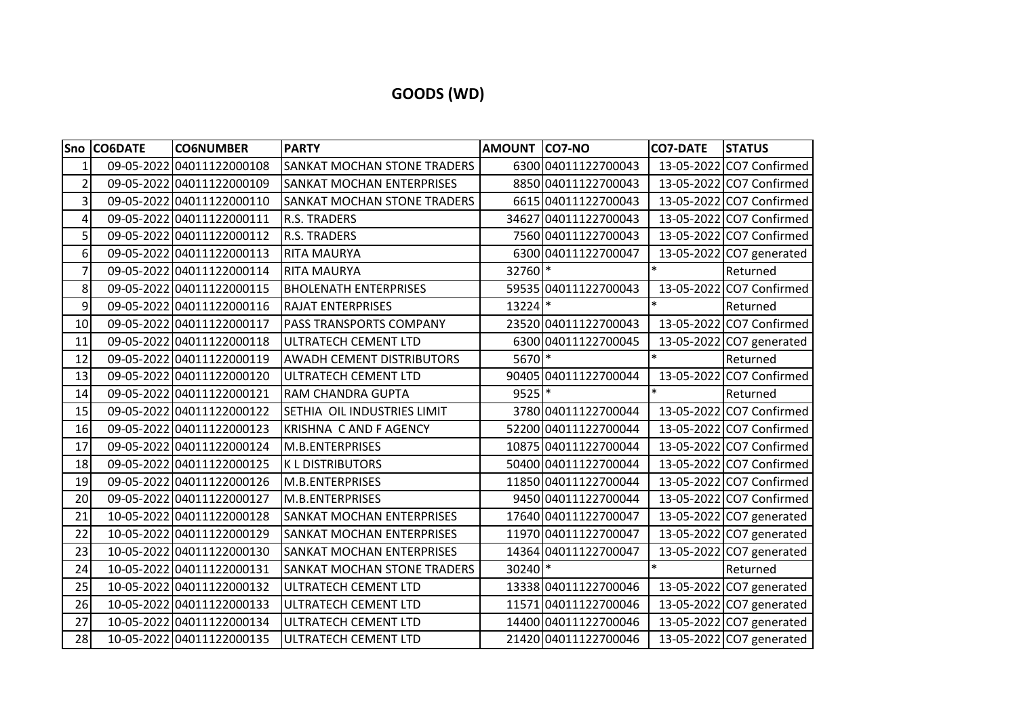## **GOODS (WD)**

|                | Sno CO6DATE | <b>CO6NUMBER</b>          | <b>PARTY</b>                       | AMOUNT CO7-NO |                      | <b>CO7-DATE</b> | <b>STATUS</b>            |
|----------------|-------------|---------------------------|------------------------------------|---------------|----------------------|-----------------|--------------------------|
| $\mathbf{1}$   |             | 09-05-2022 04011122000108 | SANKAT MOCHAN STONE TRADERS        |               | 6300 04011122700043  |                 | 13-05-2022 CO7 Confirmed |
| $\overline{2}$ |             | 09-05-2022 04011122000109 | SANKAT MOCHAN ENTERPRISES          |               | 8850 04011122700043  |                 | 13-05-2022 CO7 Confirmed |
| $\overline{3}$ |             | 09-05-2022 04011122000110 | SANKAT MOCHAN STONE TRADERS        |               | 6615 04011122700043  |                 | 13-05-2022 CO7 Confirmed |
| 4              |             | 09-05-2022 04011122000111 | <b>R.S. TRADERS</b>                |               | 34627 04011122700043 |                 | 13-05-2022 CO7 Confirmed |
| 5              |             | 09-05-2022 04011122000112 | <b>R.S. TRADERS</b>                |               | 7560 04011122700043  |                 | 13-05-2022 CO7 Confirmed |
| 6              |             | 09-05-2022 04011122000113 | <b>RITA MAURYA</b>                 |               | 6300 04011122700047  |                 | 13-05-2022 CO7 generated |
| $\overline{7}$ |             | 09-05-2022 04011122000114 | <b>RITA MAURYA</b>                 | 32760 *       |                      | $\ast$          | Returned                 |
| 8              |             | 09-05-2022 04011122000115 | <b>BHOLENATH ENTERPRISES</b>       |               | 59535 04011122700043 |                 | 13-05-2022 CO7 Confirmed |
| 9              |             | 09-05-2022 04011122000116 | <b>RAJAT ENTERPRISES</b>           | 13224 *       |                      |                 | Returned                 |
| 10             |             | 09-05-2022 04011122000117 | PASS TRANSPORTS COMPANY            |               | 23520 04011122700043 |                 | 13-05-2022 CO7 Confirmed |
| 11             |             | 09-05-2022 04011122000118 | ULTRATECH CEMENT LTD               |               | 6300 04011122700045  |                 | 13-05-2022 CO7 generated |
| 12             |             | 09-05-2022 04011122000119 | <b>AWADH CEMENT DISTRIBUTORS</b>   | 5670 *        |                      | $\ast$          | Returned                 |
| 13             |             | 09-05-2022 04011122000120 | ULTRATECH CEMENT LTD               |               | 90405 04011122700044 | 13-05-2022      | CO7 Confirmed            |
| 14             |             | 09-05-2022 04011122000121 | RAM CHANDRA GUPTA                  | $9525$ *      |                      | $\ast$          | Returned                 |
| 15             |             | 09-05-2022 04011122000122 | SETHIA OIL INDUSTRIES LIMIT        |               | 3780 04011122700044  |                 | 13-05-2022 CO7 Confirmed |
| 16             |             | 09-05-2022 04011122000123 | KRISHNA C AND F AGENCY             |               | 52200 04011122700044 |                 | 13-05-2022 CO7 Confirmed |
| 17             |             | 09-05-2022 04011122000124 | M.B.ENTERPRISES                    |               | 10875 04011122700044 |                 | 13-05-2022 CO7 Confirmed |
| 18             |             | 09-05-2022 04011122000125 | <b>KLDISTRIBUTORS</b>              |               | 50400 04011122700044 |                 | 13-05-2022 CO7 Confirmed |
| 19             |             | 09-05-2022 04011122000126 | M.B.ENTERPRISES                    |               | 11850 04011122700044 |                 | 13-05-2022 CO7 Confirmed |
| 20             |             | 09-05-2022 04011122000127 | M.B.ENTERPRISES                    |               | 9450 04011122700044  |                 | 13-05-2022 CO7 Confirmed |
| 21             |             | 10-05-2022 04011122000128 | SANKAT MOCHAN ENTERPRISES          |               | 17640 04011122700047 |                 | 13-05-2022 CO7 generated |
| 22             |             | 10-05-2022 04011122000129 | SANKAT MOCHAN ENTERPRISES          |               | 11970 04011122700047 |                 | 13-05-2022 CO7 generated |
| 23             |             | 10-05-2022 04011122000130 | SANKAT MOCHAN ENTERPRISES          |               | 14364 04011122700047 |                 | 13-05-2022 CO7 generated |
| 24             |             | 10-05-2022 04011122000131 | <b>SANKAT MOCHAN STONE TRADERS</b> | 30240 *       |                      | $\ast$          | Returned                 |
| 25             |             | 10-05-2022 04011122000132 | ULTRATECH CEMENT LTD               |               | 13338 04011122700046 |                 | 13-05-2022 CO7 generated |
| 26             |             | 10-05-2022 04011122000133 | ULTRATECH CEMENT LTD               |               | 11571 04011122700046 |                 | 13-05-2022 CO7 generated |
| 27             |             | 10-05-2022 04011122000134 | ULTRATECH CEMENT LTD               |               | 14400 04011122700046 |                 | 13-05-2022 CO7 generated |
| 28             |             | 10-05-2022 04011122000135 | ULTRATECH CEMENT LTD               |               | 21420 04011122700046 |                 | 13-05-2022 CO7 generated |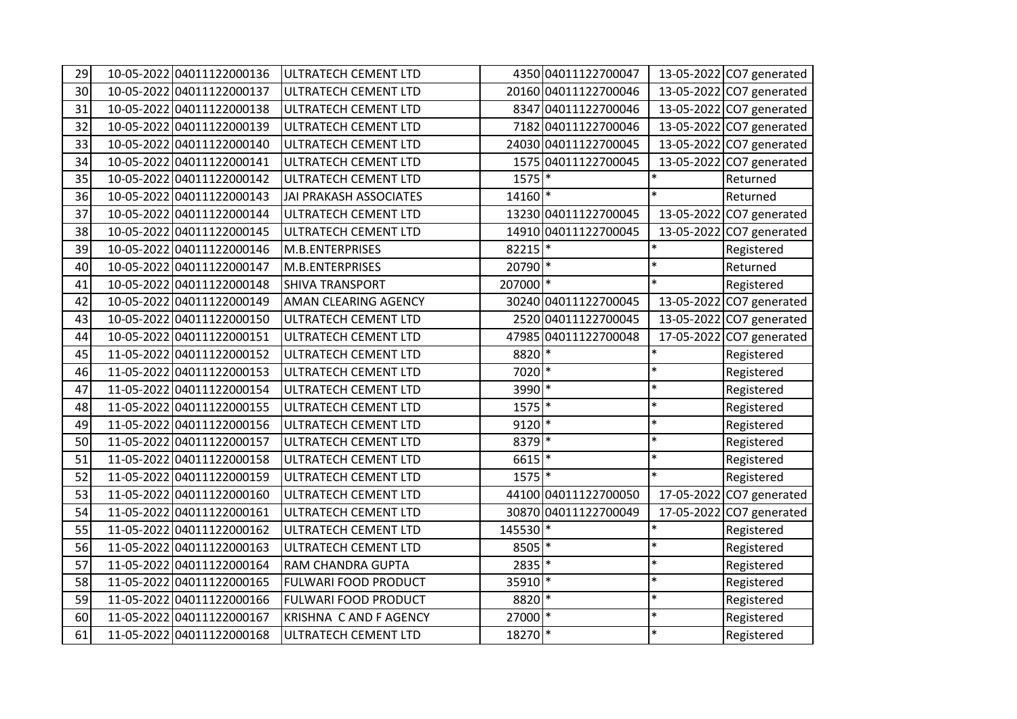| 29 | 10-05-2022 04011122000136 | ULTRATECH CEMENT LTD   |                       | 4350 04011122700047  |        | 13-05-2022 CO7 generated |
|----|---------------------------|------------------------|-----------------------|----------------------|--------|--------------------------|
| 30 | 10-05-2022 04011122000137 | ULTRATECH CEMENT LTD   |                       | 20160 04011122700046 |        | 13-05-2022 CO7 generated |
| 31 | 10-05-2022 04011122000138 | ULTRATECH CEMENT LTD   |                       | 8347 04011122700046  |        | 13-05-2022 CO7 generated |
| 32 | 10-05-2022 04011122000139 | ULTRATECH CEMENT LTD   |                       | 7182 04011122700046  |        | 13-05-2022 CO7 generated |
| 33 | 10-05-2022 04011122000140 | ULTRATECH CEMENT LTD   |                       | 24030 04011122700045 |        | 13-05-2022 CO7 generated |
| 34 | 10-05-2022 04011122000141 | ULTRATECH CEMENT LTD   |                       | 1575 04011122700045  |        | 13-05-2022 CO7 generated |
| 35 | 10-05-2022 04011122000142 | ULTRATECH CEMENT LTD   | $1575$ <sup>*</sup>   |                      | $\ast$ | Returned                 |
| 36 | 10-05-2022 04011122000143 | JAI PRAKASH ASSOCIATES | $14160$ <sup>*</sup>  |                      | $\ast$ | Returned                 |
| 37 | 10-05-2022 04011122000144 | ULTRATECH CEMENT LTD   |                       | 13230 04011122700045 |        | 13-05-2022 CO7 generated |
| 38 | 10-05-2022 04011122000145 | ULTRATECH CEMENT LTD   |                       | 14910 04011122700045 |        | 13-05-2022 CO7 generated |
| 39 | 10-05-2022 04011122000146 | M.B.ENTERPRISES        | $82215$ <sup>*</sup>  |                      | $\ast$ | Registered               |
| 40 | 10-05-2022 04011122000147 | M.B.ENTERPRISES        | $20790$ <sup>*</sup>  |                      | $\ast$ | Returned                 |
| 41 | 10-05-2022 04011122000148 | <b>SHIVA TRANSPORT</b> | 207000 *              |                      | $\ast$ | Registered               |
| 42 | 10-05-2022 04011122000149 | AMAN CLEARING AGENCY   |                       | 30240 04011122700045 |        | 13-05-2022 CO7 generated |
| 43 | 10-05-2022 04011122000150 | ULTRATECH CEMENT LTD   |                       | 2520 04011122700045  |        | 13-05-2022 CO7 generated |
| 44 | 10-05-2022 04011122000151 | ULTRATECH CEMENT LTD   |                       | 47985 04011122700048 |        | 17-05-2022 CO7 generated |
| 45 | 11-05-2022 04011122000152 | ULTRATECH CEMENT LTD   | $8820$ <sup>*</sup>   |                      | $\ast$ | Registered               |
| 46 | 11-05-2022 04011122000153 | ULTRATECH CEMENT LTD   | $7020$ <sup>*</sup>   |                      | $\ast$ | Registered               |
| 47 | 11-05-2022 04011122000154 | ULTRATECH CEMENT LTD   | $3990$ <sup>*</sup>   |                      | $\ast$ | Registered               |
| 48 | 11-05-2022 04011122000155 | ULTRATECH CEMENT LTD   | $1575$ <sup>*</sup>   |                      | $\ast$ | Registered               |
| 49 | 11-05-2022 04011122000156 | ULTRATECH CEMENT LTD   | $9120$ *              |                      | $\ast$ | Registered               |
| 50 | 11-05-2022 04011122000157 | ULTRATECH CEMENT LTD   | $8379*$               |                      | $\ast$ | Registered               |
| 51 | 11-05-2022 04011122000158 | ULTRATECH CEMENT LTD   | $6615$ <sup>*</sup>   |                      | $\ast$ | Registered               |
| 52 | 11-05-2022 04011122000159 | ULTRATECH CEMENT LTD   | $1575$ <sup>*</sup>   |                      | $\ast$ | Registered               |
| 53 | 11-05-2022 04011122000160 | ULTRATECH CEMENT LTD   |                       | 44100 04011122700050 |        | 17-05-2022 CO7 generated |
| 54 | 11-05-2022 04011122000161 | ULTRATECH CEMENT LTD   |                       | 30870 04011122700049 |        | 17-05-2022 CO7 generated |
| 55 | 11-05-2022 04011122000162 | ULTRATECH CEMENT LTD   | $145530$ <sup>*</sup> |                      | $\ast$ | Registered               |
| 56 | 11-05-2022 04011122000163 | ULTRATECH CEMENT LTD   | $8505$ <sup>*</sup>   |                      | $\ast$ | Registered               |
| 57 | 11-05-2022 04011122000164 | RAM CHANDRA GUPTA      | $2835$ <sup>*</sup>   |                      | $\ast$ | Registered               |
| 58 | 11-05-2022 04011122000165 | FULWARI FOOD PRODUCT   | 35910 *               |                      | $\ast$ | Registered               |
| 59 | 11-05-2022 04011122000166 | FULWARI FOOD PRODUCT   | $8820$ <sup>*</sup>   |                      | $\ast$ | Registered               |
| 60 | 11-05-2022 04011122000167 | KRISHNA C AND F AGENCY | 27000                 | $\ast$               | $\ast$ | Registered               |
| 61 | 11-05-2022 04011122000168 | ULTRATECH CEMENT LTD   | 18270 *               |                      | $\ast$ | Registered               |